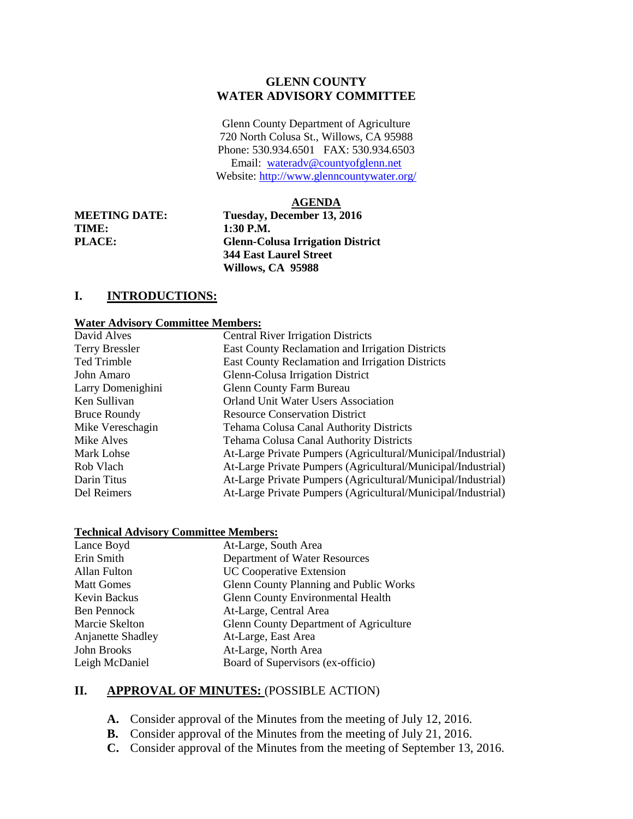## **GLENN COUNTY WATER ADVISORY COMMITTEE**

Glenn County Department of Agriculture 720 North Colusa St., Willows, CA 95988 Phone: 530.934.6501 FAX: 530.934.6503 Email: [wateradv@countyofglenn.net](mailto:wateradv@countyofglenn.net) Website:<http://www.glenncountywater.org/>

### **AGENDA**

**TIME: 1:30 P.M.** 

**MEETING DATE: Tuesday, December 13, 2016 PLACE: Glenn-Colusa Irrigation District 344 East Laurel Street Willows, CA 95988**

# **I. INTRODUCTIONS:**

#### **Water Advisory Committee Members:**

| <b>Central River Irrigation Districts</b>                    |
|--------------------------------------------------------------|
| East County Reclamation and Irrigation Districts             |
| East County Reclamation and Irrigation Districts             |
| Glenn-Colusa Irrigation District                             |
| <b>Glenn County Farm Bureau</b>                              |
| <b>Orland Unit Water Users Association</b>                   |
| <b>Resource Conservation District</b>                        |
| Tehama Colusa Canal Authority Districts                      |
| <b>Tehama Colusa Canal Authority Districts</b>               |
| At-Large Private Pumpers (Agricultural/Municipal/Industrial) |
| At-Large Private Pumpers (Agricultural/Municipal/Industrial) |
| At-Large Private Pumpers (Agricultural/Municipal/Industrial) |
| At-Large Private Pumpers (Agricultural/Municipal/Industrial) |
|                                                              |

### **Technical Advisory Committee Members:**

| Lance Boyd        | At-Large, South Area                          |
|-------------------|-----------------------------------------------|
| Erin Smith        | Department of Water Resources                 |
| Allan Fulton      | <b>UC Cooperative Extension</b>               |
| <b>Matt Gomes</b> | Glenn County Planning and Public Works        |
| Kevin Backus      | <b>Glenn County Environmental Health</b>      |
| Ben Pennock       | At-Large, Central Area                        |
| Marcie Skelton    | <b>Glenn County Department of Agriculture</b> |
| Anjanette Shadley | At-Large, East Area                           |
| John Brooks       | At-Large, North Area                          |
| Leigh McDaniel    | Board of Supervisors (ex-officio)             |

## **II. APPROVAL OF MINUTES:** (POSSIBLE ACTION)

- **A.** Consider approval of the Minutes from the meeting of July 12, 2016.
- **B.** Consider approval of the Minutes from the meeting of July 21, 2016.
- **C.** Consider approval of the Minutes from the meeting of September 13, 2016.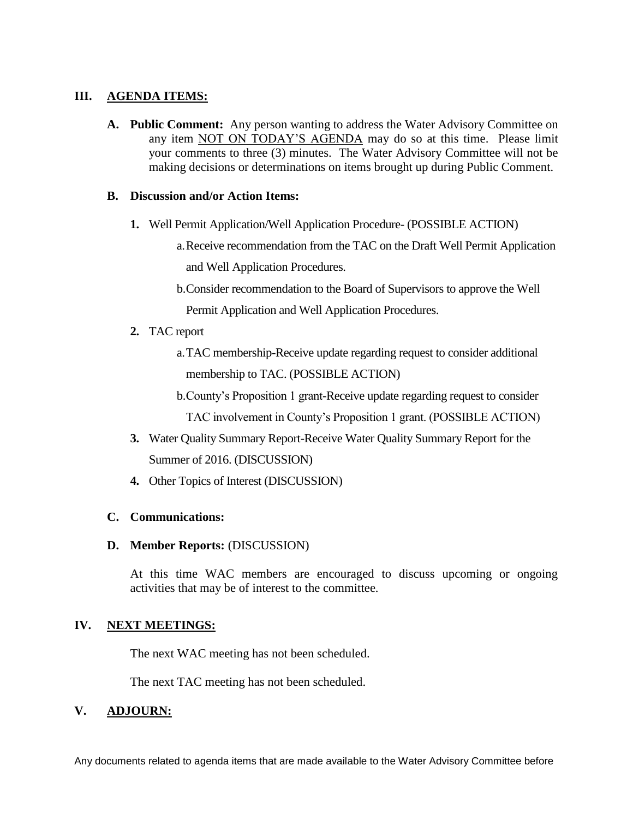## **III. AGENDA ITEMS:**

**A. Public Comment:** Any person wanting to address the Water Advisory Committee on any item NOT ON TODAY'S AGENDA may do so at this time. Please limit your comments to three (3) minutes. The Water Advisory Committee will not be making decisions or determinations on items brought up during Public Comment.

## **B. Discussion and/or Action Items:**

- **1.** Well Permit Application/Well Application Procedure- (POSSIBLE ACTION)
	- a.Receive recommendation from the TAC on the Draft Well Permit Application and Well Application Procedures.
	- b.Consider recommendation to the Board of Supervisors to approve the Well
		- Permit Application and Well Application Procedures.
- **2.** TAC report
	- a.TAC membership-Receive update regarding request to consider additional membership to TAC. (POSSIBLE ACTION)
	- b.County's Proposition 1 grant-Receive update regarding request to consider TAC involvement in County's Proposition 1 grant. (POSSIBLE ACTION)
- **3.** Water Quality Summary Report-Receive Water Quality Summary Report for the Summer of 2016. (DISCUSSION)
- **4.** Other Topics of Interest (DISCUSSION)

# **C. Communications:**

## **D. Member Reports:** (DISCUSSION)

At this time WAC members are encouraged to discuss upcoming or ongoing activities that may be of interest to the committee.

## **IV. NEXT MEETINGS:**

The next WAC meeting has not been scheduled.

The next TAC meeting has not been scheduled.

# **V. ADJOURN:**

Any documents related to agenda items that are made available to the Water Advisory Committee before